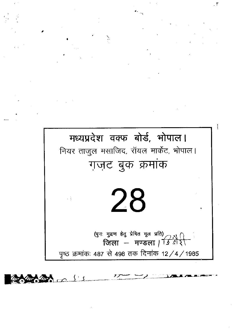



Ţ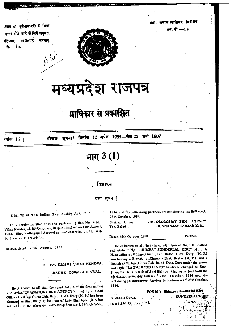44k. **vpris mien kegs** 

**ga. पो.—19.** 



मध्यप्रदेश राजपत्र

## **प्राधिकार से प्रकाशित**

.ध्वय की पूर्व-मदायशी के विज्ञा बारा मेजे आने के लिये अनुमत. **ात-पत्त, व्यालियर सम्भाग,** 

 $$T = 19.$ 

;dm 15 ] 'tea fni'm 12 Mitm 1985-4a 22, 11\* 1907

# **11t 3 (1 )**

#### **बज्ञापन**

#### ग्रन्य सचनाएँ

#### U/s. 72 of The Iadian Partnerstip Act,  $1572$

It is hereby notified that the partnership firm M/s.Krishi Vikas Kendra,211384Ganjpara,Raipur dissolved on 13th August, 1983. Shri Radhegapal Agrawal is now caarrying on the said business as its proprietor.

Raipur, dated 25th August, 1983.

For M<sub>/s</sub>. KRISHI VIKAS KENDRA,

#### -RADHE GOPAL AGRAWAL.

Be it known to all that the constitution of the firm named and styled" DHANANJAY BIDI AGENCY" with its Head Office at Village Gurur Tah. Balod Dist t. Durg (M. P.) has been changed as Shri Bhimraj kiri son of Late Shri Aiden kiri bas retired from the aforesaid partnership firm w.e.f. 24th October, 1984. and the remaining partners are continuing the firm w.e.f. 25th October, 1984.

Station :Gurur. *For* DHANANJAY BIDI AGENCY Tah. Balod · **• • • • • DHANANJAY KUMAR KIRI** 

Dated 25th October, 1984 Partner.

Be it known to all that the constitution of the firm named and styled" *WS.* BHIMRAJ SUNDERLAL KIRI" with, its Head office at Village, Gurur, Tah. Balod. Dist. Durg (M. P.) and having a Branch atCharama Dist, Baster **(M.** P.) and a Branch at Village, Gurur Tah. Balod. Dist. Durg under the name and style "LAXMI RAOD LINES" has been changed as Smt. Shayama Bai kiri wife of Shri Bhimraj kiri has retired from the a(oreamid partnership firth *w.e.f.* 24th October, 1984 and the remainingpartners arecontinuing the businessw.e.f.25thOctober, 1984.

Statian : Gurur. SUNDERLALK Dated 25th October, 1984,

*FOR* **MIs. BMmraj SuaderIal** Ktri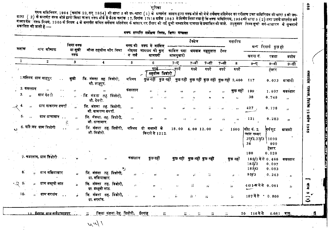्व्यक् अधिनियम, 1954 (कमांक 29,सन् 1954) की धारा 5 की उप धारा (1) के अन्तर्गत शासन द्वारा वक्फ बोर्ड को भेजे सर्वेक्षण प्रतिवेदन का परीक्षण उक्त अधिनियम की धारा 5 की उप<br>घारा ( 2)के भन्तर्गत वगफ बोर्ड द्वारा किया जाकर वक्फ प्रकाशित की जाती है:-

वक्षणं भारतीय मर्थेशक भिन्ना क्रिकेट मक्तव्य

भूमिका

|                            |                                         | গিযা বৰ্ক                                             |                                                        |                             |                                        |                                                             | टैक्सेज                 |                             |                      | मसारिफ            |                                      |                       |                |
|----------------------------|-----------------------------------------|-------------------------------------------------------|--------------------------------------------------------|-----------------------------|----------------------------------------|-------------------------------------------------------------|-------------------------|-----------------------------|----------------------|-------------------|--------------------------------------|-----------------------|----------------|
| कमांक                      | नाम श्रौकाफ                             | या सुन्नी                                             | मौजा तहसील और जिला                                     | वक्फ की                     | वक्फ में शामिल<br>नोइयत जायदाद की कुल् | काबिल प्रदा अबवाब महसुलात                                   |                         |                             | टैक्स                |                   |                                      | ग्रन्य रिमार्क कुछहो  |                |
|                            |                                         | वक्फ                                                  |                                                        | व गर्ज                      | श्रामदनी                               | मालगुजारी                                                   |                         |                             |                      |                   | खसरा नं.                             | रकबा                  | प्रयोग         |
| $\mathbf{1}$               | $\boldsymbol{2}$                        | $\mathbf{3}$                                          | 4                                                      | 5 <sub>1</sub>              | 6                                      | $7 - 7$                                                     | 7-बी                    | 7-सी                        | $7 - 31$             | 8                 | $9 - 5$                              | $9 - 4$               | $9 - f$ ा      |
|                            |                                         |                                                       |                                                        |                             | <u>रुपये ।</u><br>तहसील दिवोरी         | ्त्पये                                                      | रुपये                   | रुपये                       | रुपये                | रुपये             |                                      | हैक्टर                |                |
|                            | 1.मस्जिद ग्राम शाहपुर<br>$\sim 10^{-1}$ | सुन्नी                                                | जि. मंडला तह. डिडोरी,<br>मोे. शाहपुर.                  | मस्जिद                      |                                        | कुछ नहीं कुछ नहीं कुछ नहीं कुछ नहीं कुछ नहीं कुछ नहीं 2,400 |                         |                             |                      |                   | 117                                  | 0.073                 | श्राबादी       |
| 2. कब्रस्तान्              | $\mathbf{H}$                            |                                                       |                                                        | कबस्तान                     | 11<br>$\mathbf{H}$                     | ,,                                                          |                         |                             |                      | कुछ नहीं          | 199                                  | 1.607                 | कब्रस्तान      |
| 3.<br>$\mathbf{H}$         | ग्राम देव री                            |                                                       | <sub>ं</sub> जि. मंडज़ा तह डिंडोरी,<br>मौ. देवरी.      | $\mathcal{F}_{\mathcal{F}}$ | $\overline{1}$<br>,,                   | ,,                                                          | ,,                      | "                           | 17                   | $\bullet$         | 38                                   | 0.749                 | , ,            |
| 4.<br>$\mathbf{H}$         | ग्राम वाकरम्प वघर्रा                    | $\overline{11}$                                       | जि. मंडला तह. डिडोरी,<br>मो. वाकरम्प बघरा.             | $\overline{\mathbf{z}}$     | ,,<br>,,                               | $\mathbf{r}$                                                | 77.                     | W                           | $\bullet$            | $\pmb{\pi}$       | 427.                                 | 0.178                 | $\overline{1}$ |
| 5.<br>$\mathbf{r}$ ,       | ग्राम धानामार                           | $\mathbf{r}$ :<br>$\mathcal{F}^{\prime}_{\mathbf{c}}$ | जि. मॅडला. तह. डिडोरी,<br>मो. धानामार.                 | $\mathbf{H}$                | 97.                                    | $\bullet$<br>$\cdot$                                        | $\overline{\mathbf{z}}$ | 11                          | -11                  | $\mathbf{H}$      | $-121$                               | 0.283                 | $^{\ast}$      |
|                            | 6. मरिज़द ग्राम डिडोरी<br>$\sim$ $\sim$ | $\overline{1}$                                        | जि. मंडला तह डिडोरी, मस्जिद दो मकानों के<br>मो डिडोरी. |                             | किराये से 1212.                        | $18.00 \quad 4.00 \quad 12.00$                              |                         |                             | $\mathbf{u}^{\star}$ | 1500              | .<br>शिट नं. 2,<br>प्लाट नम्बर       | वर्ग फुट              | माबादी         |
|                            |                                         |                                                       |                                                        |                             |                                        |                                                             |                         |                             |                      |                   | 37/2,37/3<br>38                      | 1090<br>990<br>हेक्टर |                |
|                            |                                         |                                                       |                                                        |                             |                                        |                                                             |                         |                             |                      |                   | 180                                  | 0.020                 |                |
|                            | 7. कब्रस्तान, ग्राम डिडोरी              |                                                       |                                                        | कबस्तान                     | কুত নहीं                               | कुछ नहीं कुछ नहीं कुछ नहीं                                  |                         |                             |                      | কুন্ত নहीं        | 185/1 में से 0.466<br>185/2<br>185/3 | 0.097<br>0.083        | कबस्तान        |
| 8.                         | ग्राम मझियाखार<br>$\boldsymbol{\eta}$   | $\bullet$                                             | जि. मंडला तह. डिंडोरी,<br>ग्रा. मंसियाखार.             | $\mathbf{H}$                | $^{\prime\prime}$                      | $\bullet$                                                   |                         | 55                          |                      |                   | 95/3                                 | 0.243                 | $\mathbf{H}$   |
| $\cdot$ $\infty$ $\circ$ . | ग्राम बम्हनी माठ<br>,,                  |                                                       | जि. मंडला तह. डिडोरी,<br>ग्रा. बम्हनी माठ.             | J.                          | ,,                                     | $\overline{1}$                                              | Ŵ                       | n                           |                      | $^{\prime\prime}$ | 44 1- कमें से 0.081                  |                       | $\bar{H}$      |
| 10.                        | ग्राम बरगांव                            |                                                       | जि. मंडला तह. डिडोरी,<br>ग्रा. बरगांव.                 | $\mathbf{r}$                | $\mathbf{H}$                           | $\dddot{p}$                                                 | $\tilde{n}^{-1}$        | $\mathcal{G}^{\mathcal{G}}$ |                      | 55                | $187$ में से $\pm 0.809$             |                       | $\bullet$      |

 $1/\nu$ 

मच्यप्रदेश राजपत, दिनोक 12 अप्रैल 1985

881

 $\frac{4}{4}$ 

 $\omega$ Ξ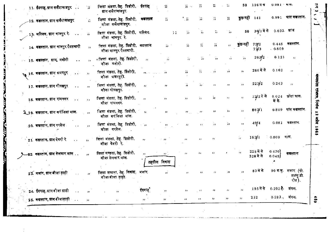| 11. ईदगाह, ग्राम सलैयावाडपुर                                      | $\overline{H}$              | जिला मंडला, तेह. डिंडोरी, ईदगाह<br>ग्राम सलैयावाडपुर.      |                            | 77                                  | $\overline{n}$ .           | $\dddot{n}$       | 57                         | $\mathcal{V}_\mathrm{f}$              | 50                       | <b>116 म स</b>             | $0.081 - 9$ km. |                                          |
|-------------------------------------------------------------------|-----------------------------|------------------------------------------------------------|----------------------------|-------------------------------------|----------------------------|-------------------|----------------------------|---------------------------------------|--------------------------|----------------------------|-----------------|------------------------------------------|
| 12. कबस्तान, ग्राम सलैयावाडपुर                                    | $\mathcal{L}_{\mathcal{F}}$ | जिला मंडला तेह डिंडोरी, कडस्तान<br>मौजा सर्लयावाडपुर.      |                            | 77                                  | ំដ                         | 57                | $\overline{\mathbf{H}}$    | $\mathcal{V}^{\star}$                 | कुछ नहीं 141             |                            |                 | $0.991$ घास कबस्तान                      |
| 13. मस्जिद, ग्राम भानपुर रे                                       | $\overline{\mathbf{n}}$     | जिला मंडला, तेह. डिडोरी, मस्जिद.<br>मौजा भानपुर रे         |                            | 55.                                 | 77                         | 57                | $\widetilde{H}$            | $\frac{1}{2} \frac{1}{2} \frac{1}{2}$ |                          | 50 36/1 में से 0.032 श्राब |                 |                                          |
| 14. कब्रस्तान, ग्राम भानपुर रैयतवारी                              | $\mathbf{r}$                | जिला मंडला, तेह. डिंडोरी, कथस्तान<br>मौजा भानपुर रैयतवारी. |                            | $\tilde{n}$                         | 55                         | 77                | 57                         | $\mathbf{H}$                          | कुछ नहीं                 | 721/2<br>72/3              | . 0.809         | 0.445 कब्रस्तान.                         |
| 15. कब्रस्तान, ग्राम, मनोरी<br>$\ddot{\phantom{a}}$ .             | $\bullet$                   | । जिला मंडला, तेह डिडोरी,<br>मौजा मनोरी.                   | $\mathcal{F}(\mathcal{F})$ | ,,                                  | ŵ.                         | 55                | -55                        | $\bullet$                             | $\mathbf{r}$             | 263/2                      | 0.121           | $\cdots$                                 |
| 16. कबस्तान, ग्राम ग्रमरपुर<br>$\mathbf{A}=\mathbf{A}+\mathbf{A}$ | $\cdots$                    | जिला मंडला, तेह. डिंडोरी,<br>मौजा ग्रमरपुरी.               | $JL_1$ , $L_2$ and $L_3$   |                                     | ï.                         | 五                 | . vi                       | $^{\prime\prime}$                     | $\cdots$                 | 286 में से                 | 0.162           | $\cdots$                                 |
| 17. कब्रस्तान, ग्राम गोरखपुर<br>$\sim$ $\sim$                     | $\mathbf{H}$                | जिला मंडला, तेह. डिंडोरी,<br>मौजा गोरखपुर.                 | $\mathbf{z}$               | ,,                                  | W.                         | $\mathcal{G}_T$ : | $\mathbf{r}$               | $^{\prime\prime}$                     | $^{\prime\prime}$        | 223y2                      | 0.243           | $\boldsymbol{r}$                         |
| 18. कब्रस्तान, ग्राम रामनगर<br>$\sim 10$                          | $\mathbf{z}$                | जिला मंडला, तेह. डिडोरी,<br>मौजा रामनगर.                   | $\overline{11}$            | $\cdots$                            | 12 <sub>1</sub>            | $\mathbf{H}$      | $\mathbf{r}$               | $\boldsymbol{\mu}$                    | $11 -$                   | 12/2 में से                | में से.         | $0.024$ छोटा घास.                        |
| 19. कब्रस्तान, ग्राम करंजिया माल.                                 | $\rightarrow$               | जिला मंडला, तेह. डिंडोरी,<br>मौजा करंजिया माल.             | $\mathbf{r}$               | $\rightarrow$                       | $\mathcal{H}_{\rm{max}}$   | $\rightarrow$     | -99                        | $, \, \cdot$                          | $\mathbf{r}$             | 867/1                      |                 | 0.809 घास कब्रस्तान.                     |
| <b>20. कब्रस्तान, ग्राम परसेल</b><br>$\sim$                       | $\pmb{\cdot}$               | जिला मंडला, तेह. डिडोरी,<br>मौजा परसेल.                    | $\sim$ $\sim$ $\sim$       | $\rightarrow$                       | $\overline{11}$            |                   | $\mathbf{r}$               | 55.                                   | $^{\prime\prime}$        | 49/4                       |                 | $0.081$ कब्रस्तान.                       |
| 21. कबस्तान, ग्राम देवरी रे<br>$\sim$ $\sim$                      | $\mathbf{H}$                | जिला मंडला, तेह. डिडोरी,<br>मौजा देवरी रे.                 | $\mathbf{r}$               | $\rightarrow$                       | $\mathcal{F}(\mathcal{F})$ | $\overline{1}$    | ,,                         |                                       | ÎΣ.                      | 183/1                      | ं $0.809$ धास.  |                                          |
| -22. कब्रस्तान, ग्राम सेलवार माल                                  | $\overline{\phantom{a}}$    | जिला मण्डला, तेह. डिडोरी,<br>मौजा सेलवार माल.              | $\mathbf{H}$               | $\mathcal{M}(\cdot)$<br>तहसील निवास | $\mathbf{r}$               | $\mathbf{r}$      | $\bullet$                  |                                       | ήy.                      | 225 में से<br>328 में से   | 0.470<br>0.045  | कब्रस्तान                                |
| 23. मजार, ग्राम बीजा डाड़ी                                        | $\overline{\phantom{a}}$    | जिला मण्डला, तेह. निवास, भजार<br>मौजा बीजा ड़ाड़ी.         |                            | $^{\prime\prime}$                   | ,,                         |                   | $^{\prime\prime}$          | $\mathbf{H}$                          | $\overline{\phantom{a}}$ | 83 में से                  |                 | 90 व.फु. मजार (पी.<br>डब्ल्य डी<br>रोड). |
| े. 24. ईदगाह,यामवीजा डाडी                                         | $\boldsymbol{\eta}$         |                                                            | ईदगाह                      | $\mathbf{H}$                        | $\boldsymbol{\mathcal{D}}$ | $\rightarrow$     | $\boldsymbol{\mathcal{V}}$ | $\mathcal{F}$                         | $\bullet$                | 195 में से 0.202 है. जंगल. |                 |                                          |
| 25. कब्रस्तान, ग्राम बीजाड़ाड़ी                                   | $\rightarrow$               | ,,<br>$\mathbf{J}(\mathbf{r})$                             | $\mathbf{H}$               | $\mathbf{H}$                        | $\boldsymbol{\mathcal{W}}$ | $\overline{1}$    | ,,                         | $\mathbf{r}$                          | 11 <sup>1</sup>          | $2\,12$                    | $0.283$ , जंगल. |                                          |

681

쿦

षाध्यप्रदेश राजपत्र, दिनांक 12 अप्रैल 1985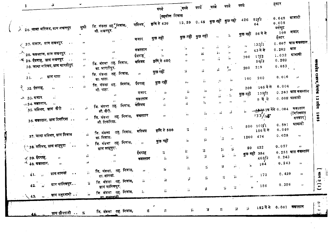|                                                                     |                         |                |                                             |                         |                    |                             |                          |                             |                                   |                    |                                    | हुक्टर                                                                   |                         |
|---------------------------------------------------------------------|-------------------------|----------------|---------------------------------------------|-------------------------|--------------------|-----------------------------|--------------------------|-----------------------------|-----------------------------------|--------------------|------------------------------------|--------------------------------------------------------------------------|-------------------------|
| $\mathbf{z}$                                                        |                         |                |                                             |                         | रुपये              | ्रुपये                      | रुपयें                   | रुपये                       | रुपये                             | रुपये              |                                    |                                                                          |                         |
|                                                                     |                         |                |                                             |                         | {तहसील निवास       |                             |                          |                             |                                   |                    |                                    | 0.648                                                                    | श्राबादी                |
|                                                                     |                         |                |                                             | मस्जिद्                 | कृषि से 430        | 12.59 0.45 कुछ नहीं कुछ नही |                          |                             |                                   | 426                | 82/2                               | $\boldsymbol{0}$ , $\boldsymbol{0}$ $\boldsymbol{0}$<br>$\boldsymbol{8}$ |                         |
| $\downarrow$ $\,$ $2\,$ 6. जामा मस्जिद, ग्राम लखनपुर                |                         | सुन्नी         | जि. मंडला तह.ॅुनिवास,<br>मो. लखनपुर.        |                         |                    |                             |                          |                             |                                   |                    |                                    | वर्गफुट<br>100                                                           | मजार                    |
|                                                                     |                         |                |                                             | मजार                    | कुछ नहीं           |                             | कुछ नहीं कुछ नहीं        | $\mathbf{r}_{\mathcal{T}}$  | $\tilde{\textbf{J}}_1$            | कुछ नहीं 56 में से |                                    | हैक्टर                                                                   |                         |
| ्र 27. मजार, ग्राम लखनपुर                                           | $\sim$ 4 $\,$ 4 $\,$    | 77             | $\rightarrow$                               |                         |                    |                             |                          |                             |                                   | 77                 | 133/1                              | 0.607                                                                    | घास <del>क</del> बस्तान |
|                                                                     |                         |                | 11                                          | कबस्तान                 | $\cdot$            | $\mathbf{H}$                | $\mathbf{H}$             | ,,<br>n,                    | 99.<br>$^{\prime\prime}$          | 13                 | 43 में से                          | 0.202                                                                    | घास                     |
| $\geq$ $_{28}$ कबस्तान, ग्राम लखनपुर $\;\;\cdots$                   |                         | <b>11</b>      |                                             | ईदगाह                   | 11                 | $\mathcal{P}$               | ň                        |                             |                                   | 700                | 17/2                               | 1.032                                                                    | ग्राबादी                |
| $\rightarrow 29$ . ईदगाह, ग्राम लखनपुर $\dots$                      |                         | $11 - 1$       | $17 -$<br>जि. मंडला <sub>.</sub> तह. निवास, | मस्जिद                  | कृषि से 600        | $, \cdot$                   | ,,                       | ñ                           | $\hat{\mathbf{H}}$                |                    | 56/2                               | 0.202                                                                    |                         |
| 30. जामा मस्जिद, ग्राम भारतीपुर                                     |                         | 11             | ग्रा. भारतीपुर.                             |                         |                    |                             | 蒜                        | ő.                          | ۰,                                | 200                | 219                                | 0.053                                                                    |                         |
| ٠.<br>्र, प्राम पाठा                                                | $\bullet$ $\bullet$     | 写              | जि. मंडला तह. निवास,                        | -78                     | कुछ नहीं           | $\sqrt{3}$                  |                          |                             |                                   |                    |                                    | 0.016                                                                    |                         |
| 31.                                                                 |                         |                | ग्रा. पाठा.                                 | ईदगाह                   | কুন্ত নहीं         | , ,                         | $\overline{\phantom{a}}$ | 93                          | 'n                                | 100                | 200                                |                                                                          | 77                      |
| $\begin{cases} 32.57 \text{ m/s}^2, \end{cases}$<br>11 <sub>1</sub> | $\sim$ 10               | ń              | निवास,<br>जि. मंडला तह.<br>मो पाठा.         |                         |                    |                             |                          |                             | 'n.                               | 200                | <sub>165</sub> में से              | 0.004                                                                    | p.                      |
|                                                                     |                         |                |                                             | मजार                    | ä.                 | 55                          | $^{\prime\prime}$        | 57                          |                                   | कुछ नहीं           | 139/2                              |                                                                          | $0.263$ घास कबस्तान     |
| $33.4$ नार<br>11                                                    |                         |                | $\overline{1}$                              | कब्रस्तान               | ,,                 | 55                          | $, \,$                   | ä                           | $\times$ 5,                       |                    | 9 में से                           | $0.008'$ भ्राबादी                                                        |                         |
| $\sim$ 34. कब्रस्तान,                                               |                         |                | $\mathcal{F}$                               | मस्जिद                  |                    | ń                           | 'n.                      | $\mathbf{r}$                | - 7                               | $\mathbf{H}$       |                                    |                                                                          |                         |
| ं35. मस्जिद, ग्राम खैरी                                             | $\bullet$ . $\bullet$   | yJ.            | जि. मंडला तह. निवास,<br>मो. खैरी.           | कब्रस्तान               | ,,<br>$\mathbf{H}$ | 7.1                         | 51                       |                             | ń                                 | 1.7                | <u>्यु ह</u> ु अप्र 1क मेंसे 0.004 |                                                                          | कबरतान<br>(मिल्कियत     |
| 36. कबस्तान, ग्राम टिकरिया                                          |                         | 99             | जि. मंडला तह. निवास,<br>मो टिकरिया.         |                         |                    |                             |                          |                             |                                   |                    | 133/15                             |                                                                          | सरकार)                  |
|                                                                     |                         |                |                                             |                         |                    |                             |                          |                             |                                   |                    | $500 \t1071$                       | 0.591                                                                    | ग्राबादी                |
|                                                                     |                         |                | जि मंडला तह निवास,                          | मस्जिद                  | कृषि से 500        | 5                           | ΩĹ.                      | ŵ.                          | $-5,$                             |                    | 156 में से                         | 0,040                                                                    |                         |
| 37. जामा मस्जिद, ग्राम निवास                                        |                         | ŵ.             | ग्रा. निवास.                                |                         |                    |                             | ¥.                       | $\frac{1}{2}$               | $\overline{\mathbf{z}}$           | 1200               | 474                                | 0.028                                                                    | 11.                     |
|                                                                     |                         | 'n             | जि. मंडला तह. निवास,                        | $\sim$ $\overline{v}$   | कुछ नहीं           | ÿ,                          |                          |                             |                                   |                    |                                    |                                                                          |                         |
| ∱∸ 38. मस्जिद, ग्राम शाहपुरा                                        | $\sim 100$ km s $^{-1}$ |                | ग्राम शाहपुरा.                              |                         |                    |                             |                          | $\mathcal{G}^{\mathcal{G}}$ | 55                                | 50                 | 422                                | 0.057                                                                    | $\bullet$               |
|                                                                     |                         |                |                                             | ईदगाह                   | 五.                 | ï,                          | 55.                      |                             |                                   |                    | कुछ नहीं 384                       |                                                                          | $0.251$ घास कब्रस्तान   |
| $\times$ 39. ईदगाह,<br>,,                                           |                         | χÿ.            | 77                                          | कब्रस्तान               | 57                 | 55                          | 75                       |                             | $\bar{D}$<br>$\tilde{\mathbf{H}}$ |                    | 465/2                              | 0.243                                                                    |                         |
| $\pm$ 40. कबस्तान,                                                  | $\boldsymbol{H}$ .      | 11             | $\sim 21$                                   |                         |                    |                             |                          | $\mathbf{r}$                | $\mathbf{17}^{\circ}$             | 'n.                | 104                                | 0.243                                                                    | 77.                     |
|                                                                     |                         |                | जि. मंडला, तह निवास,                        | $11 -$                  | ï,                 | $\mathbf{r}_\mathrm{f}$     | $\mathbf{r}$             |                             |                                   |                    |                                    |                                                                          |                         |
| ग्राम सागवां<br>41.7 <sub>p</sub>                                   | $\sim$ 4                | $\overline{H}$ | ग्रा. सागवा.                                |                         |                    |                             |                          |                             | $\overline{11}$                   | Îт.                | 172                                | 0.429                                                                    | ,,                      |
|                                                                     |                         |                | जि. मंडला तह निवास, सिंग के स               |                         | $\eta$             | уî.                         | F.                       |                             |                                   |                    |                                    |                                                                          |                         |
| $42.$ , प्राम मानिकपुर                                              |                         |                | ग्राम मानिकपुर.                             |                         |                    | $\overline{H}$              | $\mathbf{p}$             |                             | $\mathbf{5} = 5^{\circ}$          | Ÿ.                 | 156                                | 0.356                                                                    | $\boldsymbol{\pi}$      |
| <b>13.  प्राम महदवानी</b>                                           |                         | Ga.            | जि. मंडला तह निवास,<br>ar assamt.           | $\mathcal{G}_1$         | 亓                  |                             |                          |                             |                                   |                    |                                    |                                                                          |                         |
|                                                                     |                         |                |                                             |                         |                    |                             |                          |                             |                                   |                    |                                    |                                                                          |                         |
|                                                                     |                         |                |                                             |                         |                    |                             |                          | $\ddot{\mathbf{h}}$         | $\ddot{H}$                        |                    | <b>5 152 में से 0:061 कड़स्तान</b> |                                                                          |                         |
| 44.                                                                 | ग्राम छीरपानी  इ        |                | जि. मंडला तह  निवास,                        | $\mathbf{r}_\mathrm{R}$ | $\mathcal{V}$      | $\mathbf{5}^{\prime}$       | $\mathcal{G}$            |                             |                                   |                    |                                    |                                                                          |                         |

मध्यदेश राजपत्र, दिनांक 12 अप्रैल 1985

 $\begin{bmatrix} 1 & 1 \\ 0 & 1 \end{bmatrix}$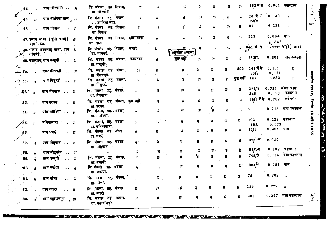|       | 44.   | $\boldsymbol{\eta}$      | याम छीरपानी $\ldots$ ा          |                      |      | जि. मंडला तह. निवास,<br>ग्रा. छीरपानी.                 |              | Ж                              | П                         | 57           | ж   | П                           |                |            | 152 में स           |                          | $0.061$ कमस्तान        |              |
|-------|-------|--------------------------|---------------------------------|----------------------|------|--------------------------------------------------------|--------------|--------------------------------|---------------------------|--------------|-----|-----------------------------|----------------|------------|---------------------|--------------------------|------------------------|--------------|
|       | 45.   | $\boldsymbol{\mu}$       | ग्राम उमरिया माल                |                      |      | जि. मंडला तह निवास,<br>ग्रा. उमरिया माल.               |              | 57                             | ň.                        | 99. L        | 55  | W.                          | 77             | äэ.        | $20$ में से<br>23/2 | 0.048                    |                        |              |
|       | 46.   | $\mathbf{H}$             | ग्राम निवास                     | $\sim$ $\sim$        | - 51 | जि. मंडला तह निवास,<br>ग्रा. निवास.                    |              | ĩî                             | й.                        | 55           | ň.  | 55.                         | ħ.             | ä.         | 97                  | 0.221                    | $\rightarrow$          |              |
|       |       | ग्राम`पाठा.              | 47. इमाम बाड़ा (खुली जगह)       |                      |      | ग्रा. पाठा.                                            |              | जि. मंडला तह. निवास, इमामबाड़ा | 7                         | 'n           | 55. | $\mathcal{L}_{\mathcal{A}}$ | $\pi$          | 50         | 217                 | $0.004$ घास<br>$6 - 041$ |                        |              |
|       |       | सांगवई.                  | 48. मजार, ज्ञानशाह बाबा, ग्राम  |                      |      | जि. मंडला तह निवास, मजार<br>ग्रा. सांगवई.              |              |                                | 57                        | तहसील मण्डला | 挤。  | $\mathbf{r}$                | $\mathbf{r}_1$ | 91.        | 64+ में से          |                          | 0. L+r वाडी (मजार)     |              |
|       |       |                          | 49. कब्रस्तान, ग्राम बम्हनी  ;; |                      |      | जि. मंडला तह. मंडला,<br>ग्रा. बम्हनी. <sub>.</sub>     |              | कबस्तान                        | $\mathcal{G}$             | कुछ महीं     | 'n  | 'n                          | я.             | 55         | 153/3               | 0.607                    | घास कबस्तान            |              |
| 50، ج |       | - 111                    | ग्राम मैंसवाही                  |                      | - 57 | जि. मंडला तह. मंडला,<br>ग्रा. भैंसवाही.                |              | Бì.                            | 5                         |              | Ħ   | 55                          | Ħ              | 200        | 141 में से<br>63/2  | 0,101<br>0.121           | $\dddot{y}$            |              |
| 51.   |       | $\overline{\phantom{a}}$ | ग्राम पिडुरई                    | $\bullet$ $\bullet$  | - 6  | जि. मंडला तह. मंडला,<br>ग्रा. पिडुरई.                  |              | ñ.                             | 抒                         | Ŷ.           | 57. | 'n                          | 77             | क्रुछ नहीं | 147                 | 0.882                    | $\dddot{u}$            | स्यमेश       |
|       | $-62$ | $\hat{\bm{p}}$           | ग्राम जेवनारा                   |                      | - 77 | जि. मंडला तह मंडला,<br>ग्रा. जेवनारा.                  |              | ñ                              | Ħ                         | И            | Ħ   | я                           | Ĥ              |            | 261/7<br>345        | 0.781<br>0.150           | जंगल, घास<br>कब्रस्तान |              |
|       | 53.   | ār.                      | ग्राम इटका                      |                      | - 11 | ग्रा. इटका.                                            |              | जि. मंडला तह मंडला, कुछ नहीं   | JT.                       | 55           | 51  | Ħ                           | г,             | ä          | 49 3में से          | 0, 202                   | कबस्तान                | スキュ          |
|       |       |                          | ग्राम उमरिया                    |                      | - 77 | जि. मंडला, तह.⊣मंडला,<br>ग्रा. उमरिया.                 |              | ñ                              | $\mathcal{A}$             | 锖            |     | ٠,                          | ñ              |            | 51                  | 0.713                    | घास कबस्तान            |              |
|       | ∕55.  |                          | बनियातारा                       | . . <i>3</i> 7       |      | जि. मंडला, तह. मंडला,<br>ग्रा. बनियातारा.              |              | ï.                             | 57                        | ň.           | П   |                             | Ś,             |            | 192<br>193.         | 0.073                    | $0.223$ कबस्तान        | त्रं<br>जन्म |
|       | 56.   | ,,                       | ग्राम मवई                       |                      | - 77 | जि. मंडला तह. मंडला,<br>ग्रा. मवई.                     |              | ñ                              | 31.                       | 57           |     |                             | н              |            | 11/3                | $0.405$ घास              |                        |              |
|       | 57.   | - 77                     | ग्राम मोहगांव                   | 5                    |      | जि. मंडला तह. मंडला,<br>ग्रा. मोहगांव.                 |              | $\mathcal{V}^{\times}$         | л                         | Л            | Я   |                             | T,             | 57         | 97)⁄1-च             | $0.910 - y$              |                        |              |
|       | 58.   |                          | ग्राम मोहगांव                   |                      | - 55 |                                                        | $\mathbf{H}$ | 55.                            | $\gamma_{\rm f}$          | 务            | 5   | Я.                          | Я              | ïī.        | $81/1 - T$          |                          | $0.182$ कब्रस्तान      |              |
|       | 59.   | Ŧ<br>ï,                  | ग्राम बम्हनी                    | $\ddot{\phantom{1}}$ | - 77 | जि. मंडला, तह. मंडला,                                  |              | $\overline{H}^{-1}$            | 57                        | Я.           | ٦.  |                             | 昻              | 5          | 748/3               | 0.154                    | घास कद्रस्तान          |              |
|       | ╱60.  | ÿ,                       | ग्राम कर्कथा                    | $\cdots$             |      | ग्रा. बम्हनी<br>जि. मंडला तह. मंडला,<br>ग्रा. कर्क या. |              | 77.                            | 77                        | П            | 57  | 71                          | ¥              | ï.         | 304/2               | 0.081                    | घास                    |              |
|       | 61.   |                          | ग्राम मौचा                      |                      | ٦.   | जि. मंडला तह. मंडला, '<br>ग्रा. मौचा.                  |              | - 55                           | $\mathbf{r}_{\mathrm{F}}$ | 51           | T.  | 륣                           | 轩              |            | 75                  | 0.202                    | 73                     |              |
|       | 62    |                          | ग्राम ग्वारा                    |                      | П    | जि. मंडला, तह. मंडला,<br>ग्रा. ग्वारो.                 |              | 55                             | 47                        | 5            | П   | 5                           | 57             | Ħ          | 128                 | 0.227                    | $\mathbf{r}$           |              |
|       | 83.   |                          | ग्राम महाराजपुर                 |                      | . ภ  | जि. मडला तह. मंडला,<br>ग्रा. महाराजपुर.                |              | ij.                            | Ħ                         |              | Я   |                             | 57             |            | 203                 | 0.397                    | घास कब्रस्तान          | $\bullet$    |

 $\mathbf{r}$ **ASSEMBLY LEAVED AT EXAMPLE AT EXAMPLE A**  $\mathbf{v} = \mathbf{v} \mathbf{v} + \mathbf{v} \mathbf{v}$ **ACTES**  $-$ 

मध्यप्रदेश राज्यम, दिनांक 12 अप्रेल 1985 Um Van<sup>el C</sup>

 $\overline{\omega}$ 

 $167$  $\sim$ 

أنسسا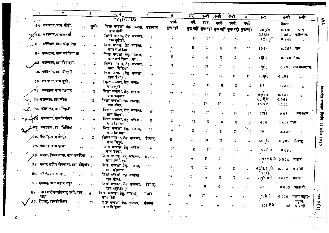| 1 | $\mathbf{2}$                                        |                      | $\bullet$  |                                                    | 5.                  | 8          | 7-7                         | 7-TT            | 7-M                      | 74 T                               | 8                        | 9-ए                   | 9-बी           | 9 सी                        |                            |
|---|-----------------------------------------------------|----------------------|------------|----------------------------------------------------|---------------------|------------|-----------------------------|-----------------|--------------------------|------------------------------------|--------------------------|-----------------------|----------------|-----------------------------|----------------------------|
|   |                                                     |                      |            | 77114.211                                          |                     | रपये.      | पये.                        | वपय.            | रुपये.                   | रुपये.                             | रुपये.                   |                       | हैक्टर.        |                             | 492                        |
|   | 64. कनस्तान, ग्राम पोड़ी.                           |                      | सुन्नी.    | जिला मण्डला, तेह. मण्डला, कन्नस्तान<br>ग्राम पोडी. |                     | কুত নহাঁ   | कुछ नहीं                    |                 |                          | कुछ नहीं कुछ नहीं कुछ नहीं कुछनहीं |                          | 206/2                 | 0.186          | घास                         |                            |
|   | $\swarrow$ 65 $\cdot$ कबस्तान,याम कुटेली            |                      |            | जिला मण्डला, तेह. मण्डला,<br>ग्राम कुटेली.         | W                   | π.         | 35.                         | 77              | 笄                        | 'n.                                |                          | 238/2<br>$125 \times$ | 0.283<br>0.242 | कंब्रस्तान.<br>$\mathbf{r}$ |                            |
|   | 66 कडल्तान,ग्राम मंजानिया                           |                      | 55.        | जिला मण्डला, तेह. मण्डला,<br>ग्राम ग्रंजानिया.     |                     | 55         | ïï.                         | ;;              | ;;                       | 77                                 | 57                       | 1014                  | $0.263$ घास.   |                             |                            |
|   | 67. कब्रस्तान, ब्राम करंजिया मा                     |                      |            | जिला मण्डला, तेह. मण्डला,<br>ग्राम करांजिया मा.    | 55.                 | 55         | $\mathcal{L}_{\mathcal{A}}$ | 55              | 77                       | $\mathcal{V}$                      | $\tilde{\boldsymbol{H}}$ | 15/2                  | $0.648$ धास.   |                             |                            |
|   | ,68- कब्रस्तान, ग्राम बिख्याि.                      |                      | 55.        | जिला मण्डला, तेहः मण्डला,<br>ग्राम बिछिया.         |                     | 77         | $\widehat{H}$               | 77              | $\ddot{H}$               | Ħ.                                 | 55                       | 38/2                  |                | 0.283 घास कब्रस्तान.        |                            |
|   | 69. कन्नस्तान, ग्राम जैतपुरी                        |                      |            | जिला मण्डला, तेह. मण्डला,<br>ग्राम जैतपुरी.        | 53                  | 77         | 55                          | 77              | Ħ                        | 55.                                | 55.                      | 190f6                 | 0.405          | $\mathbf{1}$                |                            |
|   | 70. कब्रस्तान, ग्राम लूरी                           | $\bullet$ $\bullet$  | 55         | जिला मण्डला, तेह. मण्डला,<br>गाम लूरी.             | $\mathbf{r}$        | 冨          | $\ddot{\phantom{1}}$        | 57              | π                        | 55                                 | 55                       | 81                    | 0.219          | $\overline{11}$             |                            |
|   | $\acute{\textbf{7}}$ 1 $\cdot$ कबस्तान, ग्राम पखवार | $\ddot{\phantom{1}}$ | 77         | जिली मण्डला, तेह. मण्डला,<br>ग्राम पञ्जवार.        | 57                  | 11         | 77                          | 77              | Ħ                        | 77.                                | ់ដ                       | 63 14                 | 0.121          | 11 <sup>1</sup>             |                            |
|   | 72 लबस्तान,बाम सोदा                                 |                      | 55         | जिला मण्डला, तेह. मण्डला,<br>ग्राम सोदा.           | 芬                   | 77         | 77                          | ÷.              | 55                       | 77                                 | 55.                      | 64 में से<br>163/2    | 0.061<br>0.154 | $\mathbf{H}$                |                            |
|   | 73- कंब्रस्तान, ग्राम तिहनी                         | $\bullet$ $\bullet$  | $\ddot{ }$ | जिला मण्डला, तेह. मण्डला,<br>ग्राम तिहंनी.         | 55                  | 77         | π                           | 77              | Τ,                       | 55                                 |                          | 5,7/1                 | 0.081          | कबस्तान                     |                            |
|   | ∕∕4. कबस्तान, ग्राम बिनोका                          | $\ddot{\phantom{a}}$ | 55         | जिला मण्डला, तेह. मण्डला,<br>ग्राम बिनोका.         | 57                  | $\ddot{u}$ | 77                          | 37              | $\overline{\mathcal{W}}$ | $\ddot{H}$                         | 55                       | 630                   | $0.538$ घास ,, |                             |                            |
|   | <mark>:-⁄73. कबस्तान, ग्राम विझिया</mark>           | $\bullet$            | 55         | जिला मण्डला, तेह. मण्डला,<br>ग्राम बिसिया.         | $\overline{11}$     | 77         | ő.                          | 11              | 57                       | 55                                 | 55                       | $30 -$                | 4.427          | 'nх                         |                            |
|   | $\!\!\!\!/$ 6.  ईदग्राह, ग्राम नेनपुर               | $\ddot{\phantom{0}}$ | ă.         | जिला मण्डला, तेह. मण्डला,<br>ग्राम नैनपुर:         | ईदगाहू.             | 55         | $\mathcal{L}_{\mathcal{A}}$ | 77              | 55                       | 77                                 | $\overline{\Omega}$      | 507/7                 | 0.202          | ईदगाह.                      | $\bullet$<br>$\bullet$     |
|   | <i>त्र</i> 7.  ईदगाह, ग्राम इटका                    |                      | 77         | जिला मण्डला, तेह. मण्डला,<br>ग्राम इटका.           | $\ddot{\mathbf{r}}$ | 77         | 55                          | 77              | $\overline{\mathbf{1}}$  | 77                                 | 77                       | 57 में से             | 0.081          | П                           |                            |
|   | 78.  मजार,सैम्यद बाबा, ग्राम उमरिया                 |                      |            | जिला मण्डला, तेह. मण्डला,<br>ग्राम उमरिया.         | मजार,               | Я          | 77                          | 57              | 55                       | 5                                  | 57                       | $72/47$ में से 0.004  |                | मजार.                       |                            |
|   | 79. मजार शरीफ पीरबाबा, ग्राम मोहगांव. ,,            |                      |            | जिला मण्डला, तेह. मण्डला,<br>ग्राम मोहगांव.        | 77.                 | 57.        | $\mathbf{r}$                | $\ddot{\pi}$    | $\tilde{n}$              | 77                                 | 'n.                      | 60/3, 71/2,           | 0.004          | ग्रावादी.                   |                            |
|   | 80. मजार, ग्राम मोचा                                |                      | ä          | जिला मण्डला, तेह. मण्डला,<br>ग्राम मोचा.           | $\boldsymbol{\pi}$  | 55.        | 57                          | П               | $\mathcal{V}$            | 57.                                | ä                        | 72 <b>/</b> 5 में से  | 0.012          | मजार                        |                            |
|   | 81. ईदगाह, ग्राम महाराजपुर                          |                      | 55         | जिला मण्डला, तेह. मण्डला,<br>ग्राम महाराजपुर.      | ईदगाह.              | 3          | - 8                         | 57              | 77                       | 55                                 | 55                       | 276                   |                | $0.065$ आबादी.              |                            |
|   | 82. मजार गरीफ चांदशाह दली, ग्राम                    |                      | 55         | जिला मण्डला, तेह. मण्डला,<br>ग्राम पोड़ी.          | मजार                | ж          | ÷,                          | $\tilde{H}$     | 57                       | 57.                                | $\tilde{H}$              | ∄/1 में से            |                | 0.010 मजार पहाड़-           | i<br>I                     |
|   | 83. ईदगाह, ब्राम बिछियां                            |                      | ï.         | जिला मण्डला, तेह. मण्डला,<br>ग्राम बिछियां.        | ईदगाह.              | П          | 77                          | $\ddot{\imath}$ | 77                       | 77                                 | ,,                       | 128 में से            | 0.008          | चट्टान.<br>श्राबादी.        | $\bullet$<br>$\frac{1}{2}$ |

Ķ

**ERTA** 

-44

Ş

**SANG UR** 

ATTACA AT

τ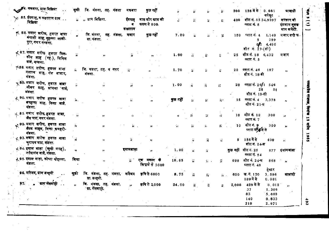|     | <u> अ</u> ⁄4. मकबरा, ग्राम विझिया<br>$\sim$ $\sim$                          | सुन्नी                      | जि. मंडला, तह. मंडला                      |  | मकबरा                                 | कुछ नहीं                        | ÎН.          | 5                           | ü.                | $\ddot{\phantom{1}}$    | 200   | 128 में से 0.081                                                   | प्रावादी                             |
|-----|-----------------------------------------------------------------------------|-----------------------------|-------------------------------------------|--|---------------------------------------|---------------------------------|--------------|-----------------------------|-------------------|-------------------------|-------|--------------------------------------------------------------------|--------------------------------------|
|     | $\propto$ 85. ईदगाह, व कब्रस्तान गाम $\,\,\ldots\,\,$<br>विभिया             |                             | ., ,, ग्राम बिझिया.                       |  | ईदगाह<br>₹<br>कबस्ताव                 | षास बोर ब्राम की<br>फसल से 800. | $\mathbf{H}$ | $\widetilde{H}$             | Tr                | 一蒜                      | 400.  | वर्गफुट<br>शीट नं. 15 34,9297<br>प्लाट नं. 5                       | सरकार जो<br>इतजाम मुतद<br>मान कमेटी. |
|     | % 88 मजार शरीफ, हजरत बावा<br>बंगाली बाह, मुहल्ला लाली-<br>पुरा, नगर मण्डला. | $\vec{H}$                   | जि मंडला, तह मंडला, मजार<br>ग्रा. मंडला.  |  |                                       | कुछ नहीं                        | 7.00         | $\hat{\mathbf{u}}$          | ÿ,                | $\dddot{r}$             | 150   | प्लाट नं. 4<br>1,140<br>289<br>5<br>$6/1$ 4,496<br>शीट नं. 17-(सी) | मजार शरी फ                           |
|     | √87 मजार शरीफ हजरत मिस-<br>कीन शाह (रह.), सिविल<br>वार्ड, मण्डला.           | $\overline{\boldsymbol{H}}$ | $\pmb{\cdot}$                             |  | - 55                                  | $, \, \cdot$                    | 1.00         | ñ                           | ्रमे              | ñ                       | 25    | शीट नं. <b>18</b><br>6,432<br>प्लाट नं. 5                          | मजार                                 |
|     | ≫88 मजार शरीफ, हजरत बाबा<br>मस्तान शाह, गंज बाजार,<br>मंडला.                | Ã.                          | जि. मडला, तह. व नगर<br>मंडला.             |  | $\overline{\mathcal{L}_{\mathbf{r}}}$ |                                 | 1.70         | $\bar{\bm{u}}$              | ŵ                 | $\mathbf{r}_\mathrm{r}$ | 20    | प्लाट नं. 46<br>187<br>शीट नं. 18-डी                               | 77                                   |
|     | √ 89 मजार शरीफ, हजरत बाबा<br>जीवन शाह, म्रामला वार्ड,<br>मंडला.             | $\vec{n}$                   |                                           |  | ñ                                     | $\mathbf{H}$                    | 1.00         | $\vec{u}$                   | $\vec{r}$         | $\widehat{r}_1$         | 20    | प्लाटनं 26/1546<br>28<br>शीट नं. 19-सी                             | $\mathbf{r}$<br>5 <sub>1</sub>       |
|     | , 90 मजार शरीफ हजरत बाबा<br>बरहाना शाह, किला वाई,<br>मंडला.                 | m.                          | 11                                        |  | $\mathbf{r}$                          | $\mathbf{r}$                    | कुछ नहीं     | $\overline{\boldsymbol{n}}$ | W.                | W.                      | 15    | प्लाट नं. 4<br>3,378<br>शीट नं. 21-स                               | $\mathbf{r}_1$                       |
|     | ← 81 मजार शरीफ, हजरत वाबा,<br>जैल घाट, नगर मंडला.                           | $\mathcal{F}$ as            | 11                                        |  | Τï.                                   | 11                              | $\bullet$    | ñ.                          | 77                | $\overline{H}$          | 10    | <i>शी</i> ट नं. 10<br>300<br>प्लाट नं. 7                           | ,,                                   |
|     | <sub>.^</sub> 92 मजार शरीफ, हजरत वाबा<br>सैयद साहब, जिला कचहरी-<br>मंडला.   | Ť,                          | $^{\prime\prime}$                         |  | $n -$                                 | 32                              | Ŵ.           | 'n                          | ŷ,                | $\overline{\mathbf{H}}$ | 10    | शीट नं. 9<br>300<br>प्लाट नंश्रृं\$में से                          | ,,                                   |
|     | ∢ 93 मजार शरीफ हजरत बाबा<br>चुरामन घाट, मंडला.                              | $\mathbf{r}$                | 11                                        |  | ñ                                     | Ħ.                              |              | $\mathbf{H}$                | $\overline{\eta}$ | n,                      | 5     | 185 में से<br>400<br>शोटन. 24-ग्र                                  | $\mathbf{r}_{\mathbf{r}}$            |
|     | + 94 इमाम बाड़ा (खुली जगह),<br>नर्मदागंज वार्ड, मंडला.                      | 73                          | $\mathbf{r}$                              |  | इमामबाडा                              | $\bullet$                       | 1.00         | ,,                          | $\tilde{n}$       |                         |       | कुछ नहीं शीटनं 25<br>877<br>प्लाट नं. 54                           | इमामबाडा                             |
|     | ∔ 95 इमाम बाड़ा, कोष्टा मोहल्ला,<br>मंडला.                                  | शिया                        | $\mathbf{1}$                              |  | 靠                                     | एक मकान के<br>किदाये से 3600    | 10.85        | 5,                          | 57 -              | 77                      | 698   | शीट नं. 24-ग्र<br>868<br>प्लाट नं. 48                              | 24.                                  |
|     | 96. मस्जिद, ग्राम बम्हनी                                                    | सुन्नी                      | षि मंडला, तह, मंडला,<br>ग्ना. बम्हनी.     |  | मस्जिद                                | कृषि से 6000                    | 8.75         | $\overline{\mathbf{H}}$     | 57                | H.                      | 600   | हेक्टर<br>ख. नं. 120<br>3.586<br>189 में से<br>0.081               | माबादी                               |
| 97. | माम भेंसवाही                                                                | $\mathbf{H}$                | जि. मंडला, तह, मंडला,<br>'ग्रा. भेँसवाही. |  | ĴУ.                                   | कृषि से 2,000                   | 24.00        | $\tilde{n}$ .               | ñ.                | 弄                       | 2,000 | 429 में से<br>1.356<br>37<br>83                                    | 0.012<br>,,                          |
|     |                                                                             |                             |                                           |  |                                       |                                 |              |                             |                   |                         |       | 5.689<br>140<br>0.833<br>$210^{\circ}$<br>2.971                    |                                      |

٠F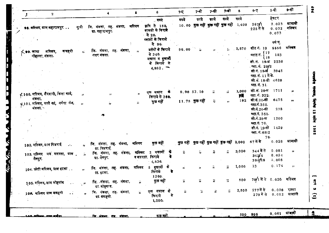| J. |                                                      | $\mathbf{z}$ |              |                    | 4                                            |                         | Б                    | 6                                                  |          | 7-ए                      | 7-बी                                      | 7-सी                           | 7-डो                    | 8           | $9 - T$                                                               | 9-बी                               | 9-सी               |
|----|------------------------------------------------------|--------------|--------------|--------------------|----------------------------------------------|-------------------------|----------------------|----------------------------------------------------|----------|--------------------------|-------------------------------------------|--------------------------------|-------------------------|-------------|-----------------------------------------------------------------------|------------------------------------|--------------------|
|    |                                                      |              |              |                    |                                              |                         |                      | ु रुपये                                            |          | रुपये                    | रुपये                                     | रुपये                          | रुपये                   | रुपये       |                                                                       | हेक्टर                             |                    |
|    | 98. मस्जिद, ग्राम महाराजपुर                          |              |              | सुत्री             | जि. मंडला, तह. मंडला,<br>ग्ना. महाराजपुर.    |                         | मस्जिद               | कृषि से 150,<br>सामग्री के किराये<br><b>रो</b> 20. |          |                          | 10.00 कुछ नहीं कुछ नहीं कुछ नहीं 1,400    |                                |                         |             | 267/1<br>225 में से                                                   | 2.023<br>0.032<br>0.073            | म्रावादी<br>मस्जिद |
|    |                                                      |              |              |                    |                                              |                         |                      | प्लाटों के किराये<br>से 96.                        |          |                          |                                           |                                |                         |             |                                                                       | वर्ग फु.                           |                    |
|    | ( ●9. जामा<br>मोहल्ला, मंडला.                        | मस्जिद,      | कचहरी        | ri.                | जि. मंडला, तह. मंडला,<br>नगर मंडला.          |                         | $\pmb{\mathfrak{p}}$ | बर्तनों के किराये<br>से 340.                       |          | 96.00                    |                                           | 71                             |                         | 2,570       | शीट नं. 19<br>प्लाट नं. <sup>{17</sup><br>18                          | 5556<br>153                        | मस्त्रि            |
|    |                                                      |              |              |                    |                                              |                         |                      | मकान व दुकानी<br>के किराये से<br>4,980.            |          |                          |                                           |                                |                         |             | शी. नं. 19-श्र 2230<br>. प्ला. नं.  20/2<br>शीनं 19-श्र <i>ि</i> 3945 |                                    |                    |
|    |                                                      |              |              |                    |                                              |                         |                      |                                                    |          |                          |                                           |                                |                         |             | प्ला. नं. 11 में से.<br>शी. नं. 18-डी 4620<br>प्ला. नं. 31.           |                                    |                    |
|    | √ 100. मस्जिद, शैरवानी, किला वार्ड,                  |              |              | 33                 | Ħ                                            |                         | 12                   | एक मकान<br>किराये से 360.                          | 看        |                          | 9.90 53.10                                | ij                             | ä.                      | 1,000<br>₩Ņ | शी. नं. 20-स<br>प्ला. नं. 322.                                        | 1711                               | 38                 |
|    | मंडला.<br>⊀्र101. मस्जिद, मस्ते खां, ⊣र्मदा गंज, ्र, |              |              |                    | 11                                           |                         | ÿ,                   | कुछ नहीं                                           |          |                          | 11.75 कुछ नहीं                            | $\widetilde{\boldsymbol{r}}_t$ | 33                      | 192         | शी.नं. 20-सी<br>प्ला.नं. 350.                                         | 6475                               | $^{\ast}$          |
|    | मंडला                                                |              |              |                    |                                              |                         |                      |                                                    |          |                          |                                           |                                |                         |             | <b>शो.नं. 20-सी</b><br>ष्त्रा.नं. 351.                                | 238                                |                    |
|    |                                                      |              |              |                    |                                              |                         |                      |                                                    |          |                          |                                           |                                |                         |             | शी.नं. 25-प्र                                                         | 1200                               |                    |
|    |                                                      |              |              |                    |                                              |                         |                      |                                                    |          |                          |                                           |                                |                         |             | ष्त्रा.नं. 70.<br>ग्नो.नं. 19-सी<br>ष्ता. नं. 6512                    | 1429                               |                    |
|    |                                                      |              |              |                    |                                              |                         |                      |                                                    |          |                          |                                           |                                |                         |             | 78.<br>$67$ में से                                                    | 0.028                              | ग्राबादी           |
|    | 102. मस्जिद, ग्राम पिडराई                            |              | $\mathbf{r}$ | $\mathbf{r}_T$     | जि. मंडला, तह. मंडला, मस्जिद<br>्या. पिडराई. |                         |                      | कुछ नहीं                                           |          |                          | कुछ नहीं कुछ नहीं कुछ नहीं कुछ नहीं 2,000 |                                |                         |             |                                                                       |                                    |                    |
|    | 103. मस्जिद मय मदरसा, ग्राम<br>नैनपुर.               |              |              | ï.                 | जि. मंडला, तह. मंडला,<br>या. नैनपुर.         |                         | मस्जिद               | 2 मकानों<br>व मदरसा. किराये<br>4,536               | के<br>ਵੇ | ÷,                       | Ŷ.                                        | n.                             | n.                      | 3,000       | 344 में से<br>342/4<br>394/18                                         | 0.081<br>0.024<br>0.008            | $\mathbf{r}$       |
|    | 104. छोटी मस्जिद, ग्राम इटका                         |              |              | $\boldsymbol{\pi}$ | जि. मंडला, तह. मंडला,<br>ग्रा. इटका.         |                         | मस्जिद               | 5 दुकानों<br>किराये<br>1260.                       | के       | л                        | 73                                        | n.                             | $\overline{\mathbf{a}}$ | 1,000       | 13                                                                    | 0.174                              | $\boldsymbol{\mu}$ |
|    | 105. मस्जिद, ग्राम मोहगांव                           |              |              | - 11               | जि. मंडला, तह, मंडला,<br>ग्रा. मोहगांव.      |                         |                      | कुछ नहीं                                           |          | $\widetilde{\mathbf{H}}$ | $\tilde{\boldsymbol{u}}$                  | ñ                              | Ŧ.                      | 500         | 70/1 में से 0.020 मस्जिद                                              |                                    |                    |
|    | 108. मस्जिद प्राम बमहनी                              |              |              |                    | जि. मंडला, तह. मंडला,<br>ग्रा. बमहनी.        |                         |                      | एक मकान के<br>किराये                               | से       | 3. 第                     | őř.                                       | ñ                              | $\vec{p}$               | 2,500       | 277 में से                                                            | 0.008<br>279 में से 0.012 ग्राबादी | रास्ता             |
|    |                                                      |              |              |                    |                                              | $\sigma_{\rm{max}}$ and |                      | 1,200.                                             |          |                          |                                           |                                |                         |             |                                                                       |                                    |                    |
|    | <u>LAN Where, and extre</u>                          |              |              |                    | <u>जि मंत्रला, तेव, संहला, </u>              |                         |                      | . See<br><u>कछ नहीं </u>                           |          |                          |                                           |                                |                         |             | 500 995                                                               | $0.061$ आबादी                      |                    |

Ŀ

I ۱.

Е П

f П

**iy** 

 $\mathbf{A}$ 

**TOP VAR** 

**Feb** 

मञ्जलेख राजपत, सिनीस 12 अप्रैल 1985

 $(1) 3 (1)$ 

 $\mathcal{L}$ 

 $\frac{4}{3}$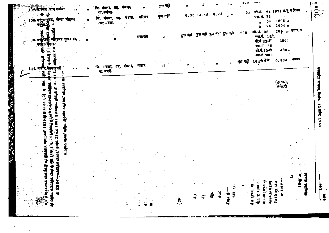|              |         | 107 मेरिजब प्राम नकेया<br>108. मईंट्रमश्चिमध, कोष्टा मोहल्ल, |                      |  | ीज मंडला, तह, मंडला,<br>ग्रा. कर्कया.<br>जि. मंडला, तह. मंडला,<br>नगर मंडला. |  | मस्जिद | कुछ नहीं<br>कुछ नहीं |   | $\begin{bmatrix} 0.36 & 14.45 & 6.72 \end{bmatrix}$ |      |     | , ,,<br>$\sim 10$            | 120                     | ,,                               | प्ला. नं. 73<br>64<br>26                                                     | शी.नं.≧ 24 2671 व.फु मस्जिद<br>$1608$ $\mu$<br>1004 n |                               | 도      |
|--------------|---------|--------------------------------------------------------------|----------------------|--|------------------------------------------------------------------------------|--|--------|----------------------|---|-----------------------------------------------------|------|-----|------------------------------|-------------------------|----------------------------------|------------------------------------------------------------------------------|-------------------------------------------------------|-------------------------------|--------|
|              |         | 09. मज़ोरिक्का महत्त्वा कुलवाड़ी,<br>नगर                     |                      |  |                                                                              |  | मजारात |                      |   | <b>कुछ नहीं कुछ नहीं कुछ न</b> हीं कुछ नही          |      |     |                              | 200                     | <b>शी.नं. 20</b>                 | प्ला.मं. 16/1<br>शी.नं.23-र्षी<br>प्ला.नं. 36<br>शी.नं.23-डी<br>व्हा.नं.3911 | $-380n$<br>400;<br>$0.004$ सजार                       | $264^{\circ}$ , मजारात        |        |
| Ñ            | 110. मज |                                                              |                      |  | जि. मंडला, तह, मंडला,<br>या. मर्बा.                                          |  | मजार   |                      |   |                                                     |      |     |                              | , कुछ नहीं 108/9 में से |                                  |                                                                              |                                                       |                               |        |
| <b>SERVE</b> |         |                                                              |                      |  |                                                                              |  |        |                      |   |                                                     |      |     |                              |                         |                                  |                                                                              | [हस्ता.]                                              |                               |        |
| Ş            |         |                                                              |                      |  |                                                                              |  |        |                      |   |                                                     |      |     |                              |                         |                                  |                                                                              |                                                       |                               |        |
| فتوابع       |         |                                                              |                      |  |                                                                              |  |        |                      |   |                                                     |      |     |                              |                         |                                  |                                                                              |                                                       |                               |        |
| ふくご くちょ      |         |                                                              |                      |  |                                                                              |  |        |                      |   |                                                     |      |     |                              |                         |                                  |                                                                              |                                                       |                               |        |
| <b>E</b>     |         |                                                              |                      |  |                                                                              |  |        |                      |   |                                                     |      |     |                              |                         |                                  |                                                                              |                                                       |                               |        |
|              |         | 医乳肉                                                          | <b>WR7175</b><br>小田市 |  |                                                                              |  |        |                      |   | $\mathcal{O}^{\mathcal{A}}$                         |      |     | न्नो                         |                         | এ                                |                                                                              | $\frac{9}{4}$                                         | Ŵ<br>$\ddot{\mathbf{r}}$<br>Å | 큏      |
|              |         |                                                              | ರ                    |  | $\mathcal{M}^{\prime}$                                                       |  |        |                      | ñ | $\sim$<br>$\sim$ and<br>ij.<br>킣                    | बुंध | 387 | $\frac{44}{3}$<br>रोजार<br>ज |                         | कि फ़ार्टी छड़<br>पूर्ण के बांबद | हे भूंकी फलांम<br>6ri s Arafir                                               | <b>DIE firecter</b>                                   | $\sim$ $-$ 4                  | 415144 |

 $\frac{1}{2}$ 

 $\frac{1}{\sqrt{2}}$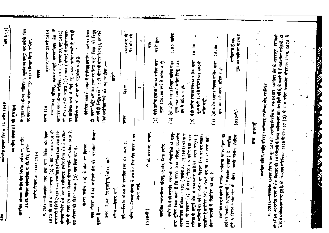मन्धप्रदेश राज्यपत्र, दिनाक 12 अप्रैल 1985

त्यानीय संस्थाक्षां की सूचनार्थे

 $[472, 412]$ 

कार्यालय मांगस्या विशेष क्षेत्र विकास प्राधिकरण, इन्दोर 38-वी. वार्षिण कॉम्पलेक्स, ए. बी. रोड, इन्टोर

स्वौर, दिनांक 30 नवम्बर 1984

7184- मध्यप्रदेश नगर तथा ग्राम निवेश अधिनियम, 1973 की घारा 50 की उपघारा (2) के बर्धात सर्व-साधारण की जानकारी के लिये एतद्द्दारा यह प्रकाशित एवं वोषित किया जाता है कि मांगल्या विक्षेष झेत्र विकास प्राधिकरण, इन्दौर निम्म क्षेत्र से संबंधित भूमि के बांबद एक नगर विकास योजना बनाने का साशय रखता है, इस मौजना को योजना कमांक (2) नाम दिया गया है. Ķ

योजना कप्रांक (2) के क्षेत्र का विवरण

उक्त योजना में लिये जानेवाले क्षेत्र की चतुःसीमा निम्ना" गुसार है:-

उत्तर.—स्थित देव गुराड़िया,नेमावर मार्ग,

दक्षिण.---सेस्टर मार्ग,

पूर्व---विकास योजना में उपवर्षित रिंग रोड नम्बर 2,

विकास योजना में उपदर्शित रिंग रोड नम्बर 1 तथा सेक्टर मार्ग. परिचम. —

 $(298 - 1)$ 

गी. डी. अप्रवास, भ्रध्यक्ष.

कार्यालय मगरपालिका परिवद्, महुगांव, जिला इन्हीर

इन्दौर षिले की महुगांव नगरपालिका के निर्वासियों को एतद्-सचित किया बाता है कि नगरपालिका परिषद, मध्यप्रदेश नगरपालिका मधिनियम 1961 ( कर्माक 37,सन् 1961) को धारा को सबीन उक्क नगर उन व्यक्तियों का वर्ष या संपत्ति का विवरण जित पर कर लगाता पालिका के सम्पूर्ण खेत में प्रकाश-कर मारोपित करना चाहती है कर की दर या रका इसमें 127 की उपबारा (1) के बण्ड ( चीरह) प्रताबित है बारोपित किये जानेगाले E

निखित भपनी भापति भीतर क दिनांक से तीस दिन को г.<br>Б

प्रस्तावित कर के संबंध में धापति करनेवाला नगरपालिका का र्णोई भी निवासी इस सूचना के ( मध्यप्रदेश राजपत्र ) में प्रकाशित

 $\widehat{E}$ 

 $10.00$ ऐसी प्रत्येक इमारत जिसका वार्षिक भाड़ा मूल्य रुपये 144 से अधिक किन्तु 480 से मजिक न हो.

 $\ddot{ }$ 

 $\widehat{\mathbf{c}}$ 

मूल्य 480 से ऊपर मजिक न हो.

ऐसी प्रत्येक इमारत जिसका वार्षिक भाड़ा

 $\ddot{z}$ 

 $\frac{1}{2}$ 

क 53।84——मध्यप्रदेश राजपत, दिनांक 22 जून 1984 में प्रकाशित विज्ञप्ति क. 26।84 द्वारा ग्वातियर क्षेत्र के मालवाहन स्वाप्नियों

कार्यालय सचिव, जेब्रोम परिवहन प्राधिकार, ग्वासियर जेत्र, ग्वासियर

प्रान्य धूषनाएँ

 $\mathbb{Z}^3$ 

 $\frac{1}{2}$ 

को स्वीइल उत्तरप्रदेश राज्य के झेत विस्लार की 16 रिक्तियों के विरुद्ध मावेदन-पत्न मामंत्रित गये मे, के सत्यर्ग में निम्मलिखित मावेदकों की

म्रोर से मावेदन-पत्न प्राप्त हुए हैं, जो मोटरयान मधिनियम, 1939 को धारा 57 (3) के साथ पठित मध्यप्रदेश मोटरसान नियम, 1974

œ

*<u>All And And And And</u>* 

**Anti-**

And American American

पूका सगरपालिका प्राधिकारी

 $(323 - 1)$ 

शान्तिलाल होगड़,

15.00

ग्रंसल प्रस्ताकों में निर्वारित की गई है.

महूगांव, दिनांक 28 मई 1984 ीहरू<br>क नगरपालिका परिषद्, महूगांव सम्पूर्ण नगरपालिका

it. की धारा 127की उपघारा ( 1) के खप्छ ( चौदह) के ग्रष्टीन प्रकास-मध्यप्रदेश नगरपालिका अधिनियम 1961 ( कर्माकं 37,सन् 1961) कर प्रारोपित करने के लिये यह संकल्प पारित करती है प्रस्तावित कर की दर का भी मनुमोदन करती है.

ऐसे किसी भवन के मामले में जो विद्युत् प्रकाशित सड़क पर स्थित

में मुख्य नगरपालिका अधिकारी, महूगांव को प्रस्तुत कर सकेगा जिन

हो भयवा विद्युत प्रकाशित सड़क पर स्थित न हो किन्तु ओ विद्युत् बल्न लगे हों विद्युत् खम्बे से 1 सो मीटर जे भीतर स्थित हो, दर नीचे लिखे उल्लेखित किये मये मनुसार होगा :--

प्रकाश-कर की<br>दर प्रति वर्षे

m,

 $\mathbf{\tilde{N}}$ 

Н

Ē

(1) ऐसी प्रत्येक इमारत जिसका वार्षिक भाड़ा

री हो।

 $\ddot{\bullet}$ 

पर नगरपालिका परिषद्, महूर्गाव द्वारा विचार किया जावेगा. संकल्प

**THILE** 110

सारणी

विवरण

 $\frac{1}{2}$ 

5.00 वापिक कर से मुक्त मूल्य 120,00 स्पर्यं से प्राप्तिक न हो. मूल्य रुपये 120 से म्रांबिक किन्तु 144 ऐसी प्रत्येक इमारत जिसका वार्षिक भाड़ा

 $\hat{a}$ 

तक से प्रांतक न हो.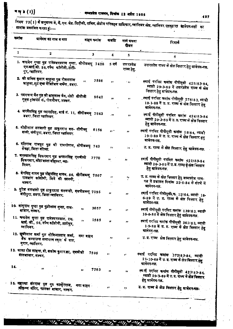### माथ्**३ (1)]**

497

|              | কৰ্দাৰূ<br>मावेदक का नाम व पता                                                                                          | वाहन कमांक  | म्रवाय | मार्ग प्रथवा<br>रीजन       | रिमार्क                                                                                                                       |
|--------------|-------------------------------------------------------------------------------------------------------------------------|-------------|--------|----------------------------|-------------------------------------------------------------------------------------------------------------------------------|
| $\mathbf{1}$ | 2                                                                                                                       | $\bf{3}$    | 4      | 5.                         | 6                                                                                                                             |
|              | 1. बन्द्रसेन गुप्ता पुत्र रामेश्वरदयाल गुप्ता, सीपीडब्ल्यू 7428<br>एम.माई.जी. 56, दर्पण कॉलोनी, ठाटी-<br>पुर, ग्वालियर. |             | 5 वर्ष | उत्तरप्रदेश<br>राज्य हेतू. | उत्तरप्रदेश राज्य के क्षेत्र विस्तार हेतु मावेदन-पत्न.                                                                        |
|              | 2. श्री ग्रनिल कुमार गाहूजा पुत्र रोशनलाल<br>भाहूजा, फूट एम्ड वैजिटेबल मर्जेन्ट, डबरा.                                  | 7556<br>Ω,  | 99     | 5.97                       | स्याई परमिट ऋमांक पीपीयूसी 425183-84,<br>म्यादी 29-3-89 में उत्तरप्रदेश राज्य के क्षेत्र<br>विस्तार हेतु ग्रावेदन-पत्न.       |
|              | 3. पदमचन्द जैन पुत्र श्री बाबूलाल जैन, मोदी सीपीजी<br>गुड्स ट्रांसपोर्ट कं., रोशनीघर, लश्कर.                            | 9642        | ,,     | $\mathbf{H}$               | .स्थाई परमिट कर्माक पीपीयूसी <sub>.</sub> 278।83, म्यादी<br>10-1-88 में उ. प्र. राज्य के क्षेत्र विस्तार हेतु<br>मावेदन-पत्न. |
|              | 4. जरनैलसिंह पुत्र प्यारासिंह, बार्ड नं. 11, सीपीडब्ल्यू 7643<br>डवरा, जिला ग्वालियर.                                   |             | .77    | Þ.                         | स्याई पीपीयूसी परमिट कमांक 424183-84<br>म्यादी 29-3-89 में उ. प्र. राज्य के क्षेत्र विस्तार<br>हेतु म्रावेदन-पत्न.            |
|              | 5. मोतीलाल बलवानी पुत्र ठाकुरदास वल- सीपीक्यू<br>बानी, जंगीपुरा, डवरा, जिला ग्वालियर.                                   | 6156        | ,, ,   | 11                         | स्याई परमिट पीपीयूसी कर्माक 15184, म्यादी<br>19-6-89 में उ. प्र. राज्य के क्षेत्र विस्तार हुतु<br>मावेदन-पन्न.                |
|              | 6. रतिराम राजपूत पुत्न श्री रामगोपाल, सीपीडब्ल्यू 749<br>सेंवढ़ा, जिला दलिया.                                           |             | ¥.     | уp.                        | उ. प्र. राज्य के क्षेत्र विस्तार हेतु म्रावेदन-पत्न.                                                                          |
|              | 7. वनुश्यामसिंह सिकरवार पुत्र कप्तानसिंह एमबीजी 7770<br>सिकरवार, कोटावाला मौहल्ला, ग्वा-<br>लियर.                       |             | 11     | 'n                         | स्थाई पौषीयूसी परमिट कमांक 421183-84<br>म्यादी 26-3-89 में उ.प्र. राज्य केक्षेत विस्तार<br>हेत् मावेदन-पत्न.                  |
|              | 8. श्वेर्रासह यादव पुत्र मोहनसिंह यादव, 86, सौपीडरूयू 7507<br>रामबाग कॉलोनी, शिदे की छावनी,<br>लाकर.                    |             | ,,     | ٠,                         | उ. प्र. राज्य के क्षेत्र विस्तार हेतु मध्यप्रदेश राज-<br>पत्न में प्रकाशन दिनांक 22-6-84 के संदर्भ में<br>मावेदन-पत्न.        |
|              | 9. सुरेश वलवानी पुत ठाकुरदास वलवानी, एमपीडब्ल्यू 7095<br>जंगीपुरा, डबरा, जिला ग्वालियर.                                 |             | ,,     | ,,                         | स्याई परमिट पीपीयूसी क. 12164, म्यादी 18-<br>6-89 में उ. प्र. राज्य के क्षेत्र विस्तार हेतु<br>ग्रावेदन-पत्न.                 |
|              | 10. नांयूराम गुप्ता पुत्र फुंदीलाल गुप्ता, दाल-<br>बाजार, लंग्कर.                                                       | 3657<br>77. |        | 9.9                        | स्थाई पीपीयूसी परमिट कमांक 139183, म्यादी<br>16-6-86 में क्षेत्र विस्तार हेतुं म्रावेदन-पत्न.                                 |
|              | 11. बन्द्रसेन गुप्ता पुल रामेश्वरदयाल, एम.<br>माई. जी., 56, दर्पण कॉलोनी, ठाटीपुर,<br>ग्वालियर.                         | 1585<br>,,  | 17     | ,,                         | स्थाई परमिट कमांक पीपीयूसी 361183, म्यादी<br>1-9-88 में उ. प्र. राज्य के क्षेत्र विस्तार हेतु<br>भावेदन-पत्न.                 |
|              | 12. छूत्रीलाल शर्मा पुत गोविन्दप्रसाद शर्मा,<br>बैंक कम्पाउन्ड सन्तपाल स्कूल के पास,<br>मुरार, ग्वालियर.                | नया बाहन    | ,,     | $\pmb{r}$                  | उ. प्र. राज्य क्षेत्र विस्तार हेतु म्रावेदन-पक्ष.                                                                             |
|              | 13. माश रोड लाइन्स, प्रो. ब्रशोक कुमार झा, एमबीजी<br>दालबाजार, लंश्कर,                                                  | 7595        | ,,     | $\mathbf{r}$               | स्थाई परमिट कमांक 372183-84, म्यादी<br>21-10-69 में उ. प्र. राज्य के क्षेत्र बिस्तार हेतु<br>मावेदन-पत्न.                     |
| 14.          | "                                                                                                                       | 7763<br>,,  | 11     | ,,                         | स्थाई परमिट कमांक पीपीयूसी 423183-84,<br>म्यादी 29-3-69 में उ.प. राज्य के लेत विस्तार<br>हेतु मानेदन-पत्न.                    |
|              | 15. महात्मा संतराज पुत्र गुरु कान्हेरराज,<br>श्रीकृष्ण मंदिर, फालका बाजार, लक्कर.                                       | नया वाहन    | ,,     | ,,                         | उ. प्र. राज्य के लेत विस्तार हेतु भावेदन-पत्न-                                                                                |

للدمو چ د 10 47